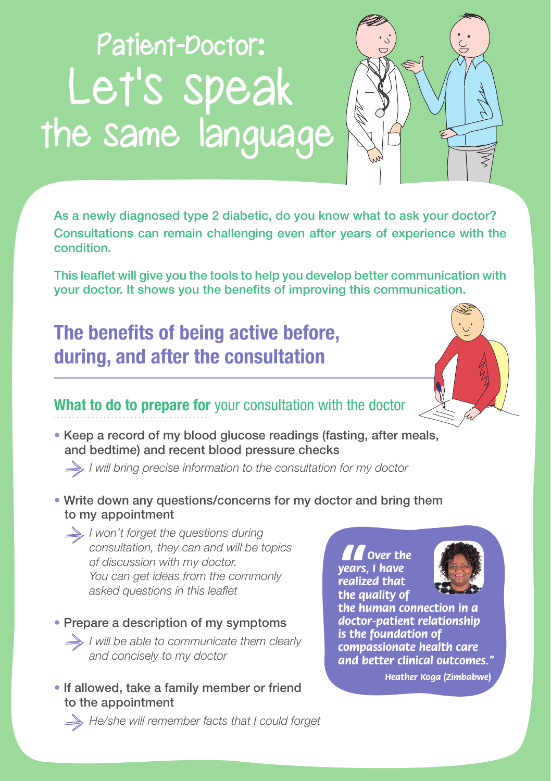# Patient-Doctor: Let's speak the same language



As a newly diagnosed type 2 diabetic, do you know what to ask your doctor? Consultations can remain challenging even after years of experience with the condition.

This leaflet will give you the tools to help you develop better communication with your doctor. It shows you the benefits of improving this communication.

# **The benefits of being active before, during, and after the consultation**



• Keep a record of my blood glucose readings (fasting, after meals, and bedtime) and recent blood pressure checks

*I will bring precise information to the consultation for my doctor* 

• Write down any questions/concerns for my doctor and bring them to my appointment

*I won't forget the questions during consultation, they can and will be topics of discussion with my doctor. You can get ideas from the commonly asked questions in this leaflet*

• Prepare a description of my symptoms *I will be able to communicate them clearly and concisely to my doctor*

• If allowed, take a family member or friend to the appointment

*M* over the<br> **Prealized that**<br> **the quality of**<br> **the human co** *Over the years, I have realized that* 



*the human connection in a doctor-patient relationship is the foundation of compassionate health care and better clinical outcomes."*

*Heather Koga (Zimbabwe)*

*He/she will remember facts that I could forget*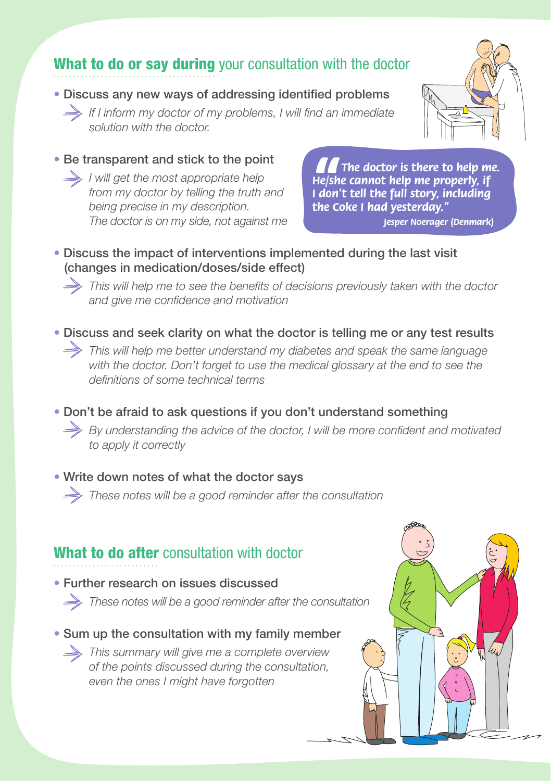## What to do or say during your consultation with the doctor

• Discuss any new ways of addressing identified problems

 *If I inform my doctor of my problems, I will find an immediate solution with the doctor.*

• Be transparent and stick to the point

 *I will get the most appropriate help from my doctor by telling the truth and being precise in my description. The doctor is on my side, not against me*

**A**<br>He/sh<br>I don'<br>the Co *The doctor is there to help me. He/she cannot help me properly, if I don't tell the full story, including the Coke I had yesterday."*

*Jesper Noerager (Denmark)*

#### • Discuss the impact of interventions implemented during the last visit (changes in medication/doses/side effect)

 *This will help me to see the benefits of decisions previously taken with the doctor and give me confidence and motivation*

• Discuss and seek clarity on what the doctor is telling me or any test results  *This will help me better understand my diabetes and speak the same language with the doctor. Don't forget to use the medical glossary at the end to see the definitions of some technical terms*

• Don't be afraid to ask questions if you don't understand something  *By understanding the advice of the doctor, I will be more confident and motivated to apply it correctly*

• Write down notes of what the doctor says

 *These notes will be a good reminder after the consultation*

### What to do after consultation with doctor

• Further research on issues discussed

*These notes will be a good reminder after the consultation*

• Sum up the consultation with my family member

 *This summary will give me a complete overview of the points discussed during the consultation, even the ones I might have forgotten* 



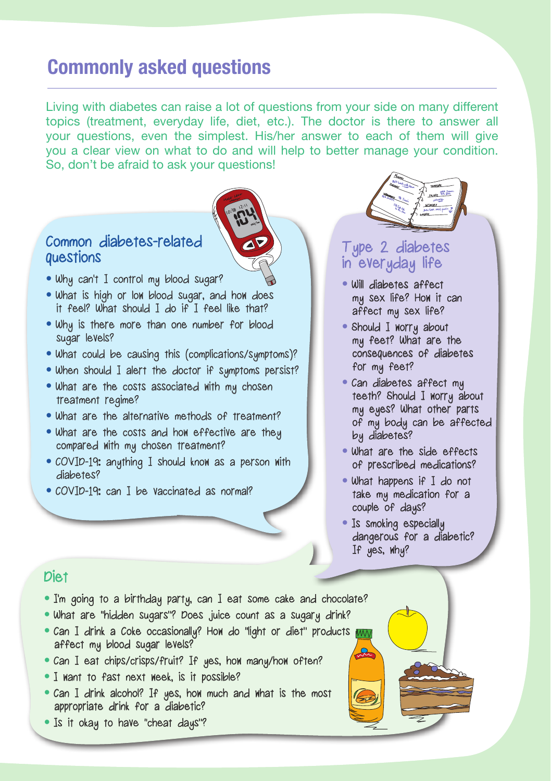## **Commonly asked questions**

Living with diabetes can raise a lot of questions from your side on many different topics (treatment, everyday life, diet, etc.). The doctor is there to answer all your questions, even the simplest. His/her answer to each of them will give you a clear view on what to do and will help to better manage your condition. So, don't be afraid to ask your questions!

#### Common diabetes-related questions

- Why can't I control my blood sugar?
- What is high or low blood sugar, and how does it feel? What should I do if I feel like that?
- Why is there more than one number for blood sugar levels?
- What could be causing this (complications/symptoms)?
- When should I alert the doctor if symptoms persist?
- What are the costs associated with my chosen treatment regime?
- What are the alternative methods of treatment?
- What are the costs and how effective are they compared with my chosen treatment?
- COVID-19: anything I should know as a person with diabetes?
- COVID-19: can I be vaccinated as normal?



#### Type 2 diabetes in everyday life

- Will diabetes affect my sex life? How it can affect my sex life?
- Should I worry about my feet? What are the consequences of diabetes for my feet?
- Can diabetes affect my teeth? Should I worry about my eyes? What other parts of my body can be affected by diabetes?
- What are the side effects of prescribed medications?
- What happens if I do not take my medication for a couple of days?
- Is smoking especially dangerous for a diabetic? If yes, why?

#### Diet

- I'm going to a birthday party, can I eat some cake and chocolate?
- What are "hidden sugars"? Does juice count as a sugary drink?
- Can I drink a Coke occasionally? How do "light or diet" products affect my blood sugar levels?
- Can I eat chips/crisps/fruit? If yes, how many/how often?
- I want to fast next week, is it possible?
- Can I drink alcohol? If yes, how much and what is the most appropriate drink for a diabetic?
- Is it okay to have "cheat days"?